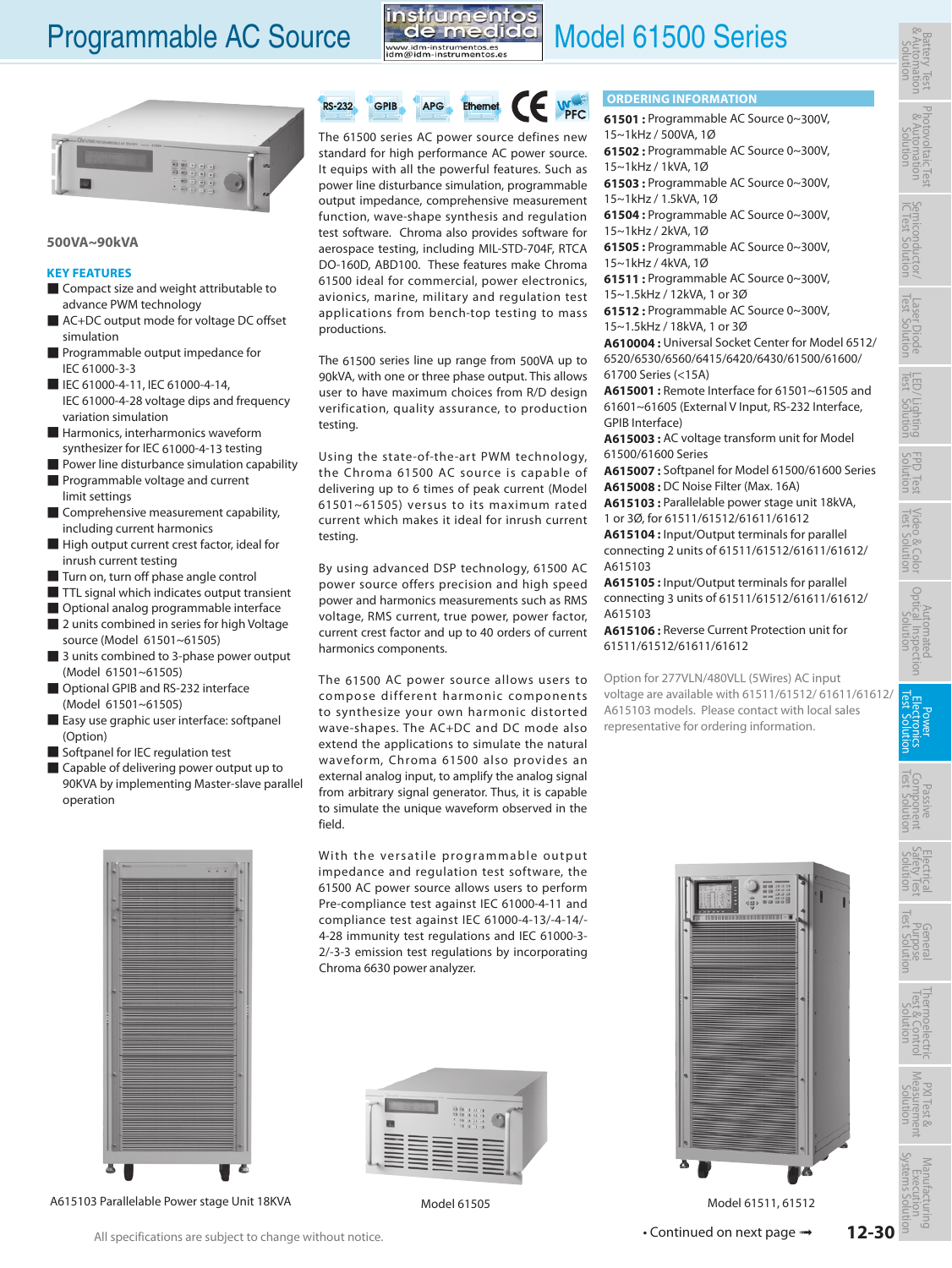# Programmable AC Source [M](http://www.idm-instrumentos.es)ate medida Model 61500 Series







### **500VA~90kVA**

### **KEY FEATURES**

- Compact size and weight attributable to advance PWM technology
- AC+DC output mode for voltage DC offset simulation
- Programmable output impedance for IEC 61000-3-3
- IEC 61000-4-11, IEC 61000-4-14, IEC 61000-4-28 voltage dips and frequency variation simulation
- Harmonics, interharmonics waveform synthesizer for IEC 61000-4-13 testing
- Power line disturbance simulation capability
- Programmable voltage and current limit settings
- Comprehensive measurement capability, including current harmonics
- High output current crest factor, ideal for inrush current testing
- Turn on, turn off phase angle control
- TTL signal which indicates output transient
- Optional analog programmable interface
- 2 units combined in series for high Voltage source (Model 61501~61505)
- 3 units combined to 3-phase power output (Model 61501~61505)
- Optional GPIB and RS-232 interface (Model 61501~61505)
- Easy use graphic user interface: softpanel (Option)
- Softpanel for IEC regulation test
- Capable of delivering power output up to 90KVA by implementing Master-slave parallel operation



A615103 Parallelable Power stage Unit 18KVA

**RS-232** GPIB **APG** Ethernet

The 61500 series AC power source defines new standard for high performance AC power source. It equips with all the powerful features. Such as power line disturbance simulation, programmable output impedance, comprehensive measurement function, wave-shape synthesis and regulation test software. Chroma also provides software for aerospace testing, including MIL-STD-704F, RTCA DO-160D, ABD100. These features make Chroma 61500 ideal for commercial, power electronics, avionics, marine, military and regulation test applications from bench-top testing to mass productions.

The 61500 series line up range from 500VA up to 90kVA, with one or three phase output. This allows user to have maximum choices from R/D design verification, quality assurance, to production testing.

Using the state-of-the-art PWM technology, the Chroma 61500 AC source is capable of delivering up to 6 times of peak current (Model 61501~61505) versus to its maximum rated current which makes it ideal for inrush current testing.

By using advanced DSP technology, 61500 AC power source offers precision and high speed power and harmonics measurements such as RMS voltage, RMS current, true power, power factor, current crest factor and up to 40 orders of current harmonics components.

The 61500 AC power source allows users to compose different harmonic components to synthesize your own harmonic distorted wave-shapes. The AC+DC and DC mode also extend the applications to simulate the natural waveform, Chroma 61500 also provides an external analog input, to amplify the analog signal from arbitrary signal generator. Thus, it is capable to simulate the unique waveform observed in the field.

With the versatile programmable output impedance and regulation test software, the 61500 AC power source allows users to perform Pre-compliance test against IEC 61000-4-11 and compliance test against IEC 61000-4-13/-4-14/- 4-28 immunity test regulations and IEC 61000-3- 2/-3-3 emission test regulations by incorporating Chroma 6630 power analyzer.



## **ORDERING INFORMATION**

**61501 :** Programmable AC Source 0~300V, 15~1kHz / 500VA, 1Ø

**61502 :** Programmable AC Source 0~300V, 15~1kHz / 1kVA, 1Ø

**61503 :** Programmable AC Source 0~300V, 15~1kHz / 1.5kVA, 1Ø

**61504 :** Programmable AC Source 0~300V, 15~1kHz / 2kVA, 1Ø

**61505 :** Programmable AC Source 0~300V, 15~1kHz / 4kVA, 1Ø

**61511 :** Programmable AC Source 0~300V, 15~1.5kHz / 12kVA, 1 or 3Ø

**61512 :** Programmable AC Source 0~300V, 15~1.5kHz / 18kVA, 1 or 3Ø

**A610004 :** Universal Socket Center for Model 6512/ 6520/6530/6560/6415/6420/6430/61500/61600/ 61700 Series (<15A)

**A615001 :** Remote Interface for 61501~61505 and 61601~61605 (External V Input, RS-232 Interface, GPIB Interface)

**A615003 :** AC voltage transform unit for Model 61500/61600 Series

**A615007 :** Softpanel for Model 61500/61600 Series **A615008 :** DC Noise Filter (Max. 16A)

**A615103 :** Parallelable power stage unit 18kVA, 1 or 3Ø, for 61511/61512/61611/61612

**A615104 :** Input/Output terminals for parallel connecting 2 units of 61511/61512/61611/61612/ A615103

**A615105 :** Input/Output terminals for parallel connecting 3 units of 61511/61512/61611/61612/ A615103

**A615106 :** Reverse Current Protection unit for 61511/61512/61611/61612

Option for 277VLN/480VLL (5Wires) AC input voltage are available with 61511/61512/ 61611/61612/ A615103 models. Please contact with local sales representative for ordering information.



Photovoltaic notovoltaic lest<br>& Automation<br>Solution



LED/ Lighting<br>Test Solution

FPD Test Video & Color<br>Solution Test Solution Power Electronics Test Solution Procedion<br>Solution Fest Solution Solution<br>Solution Fest Solution Solution **Fest Solution** 

Electrical Safety Test Solution

General<br>Purpose<br>Test Solution

Thermoelectric<br>Test & Control<br>Solution

PXI Test & Measurement Solution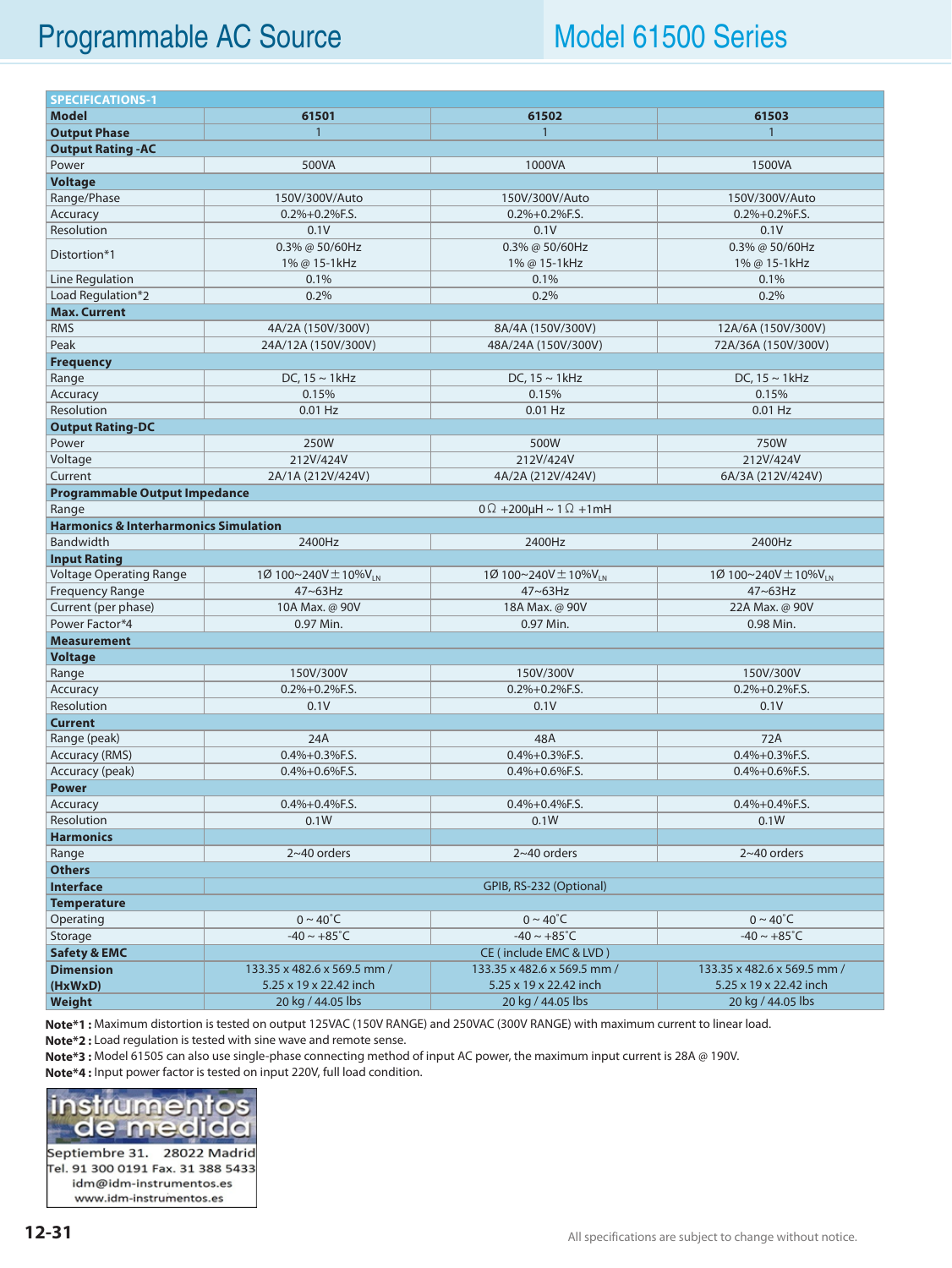## Programmable AC Source Model 61500 Series

| <b>SPECIFICATIONS-1</b>                          |                                      |                                      |                                      |  |  |  |  |  |
|--------------------------------------------------|--------------------------------------|--------------------------------------|--------------------------------------|--|--|--|--|--|
| <b>Model</b>                                     | 61501                                | 61502                                | 61503                                |  |  |  |  |  |
| <b>Output Phase</b>                              | $\mathbf{1}$                         | $\mathbf{1}$                         | 1                                    |  |  |  |  |  |
| <b>Output Rating - AC</b>                        |                                      |                                      |                                      |  |  |  |  |  |
| Power                                            | 500VA                                | 1000VA                               | 1500VA                               |  |  |  |  |  |
| <b>Voltage</b>                                   |                                      |                                      |                                      |  |  |  |  |  |
| Range/Phase                                      | 150V/300V/Auto                       | 150V/300V/Auto                       | 150V/300V/Auto                       |  |  |  |  |  |
| Accuracy                                         | $0.2\% + 0.2\%$ F.S.                 | $0.2\% + 0.2\%$ F.S.                 | $0.2\% + 0.2\%$ F.S.                 |  |  |  |  |  |
| Resolution                                       | 0.1V                                 | 0.1V                                 | 0.1V                                 |  |  |  |  |  |
|                                                  | 0.3% @ 50/60Hz                       | 0.3% @ 50/60Hz                       | 0.3% @ 50/60Hz                       |  |  |  |  |  |
| Distortion*1                                     | 1% @ 15-1kHz                         | 1% @ 15-1kHz                         | 1% @ 15-1kHz                         |  |  |  |  |  |
| Line Regulation                                  | 0.1%                                 | 0.1%                                 | 0.1%                                 |  |  |  |  |  |
| Load Regulation*2                                | 0.2%                                 | 0.2%                                 | 0.2%                                 |  |  |  |  |  |
| <b>Max. Current</b>                              |                                      |                                      |                                      |  |  |  |  |  |
| <b>RMS</b>                                       | 4A/2A (150V/300V)                    | 8A/4A (150V/300V)                    | 12A/6A (150V/300V)                   |  |  |  |  |  |
| Peak                                             | 24A/12A (150V/300V)                  | 48A/24A (150V/300V)                  | 72A/36A (150V/300V)                  |  |  |  |  |  |
| <b>Frequency</b>                                 |                                      |                                      |                                      |  |  |  |  |  |
| Range                                            | DC, $15 \sim 1$ kHz                  | DC, $15 \sim 1$ kHz                  | DC, $15 \sim 1$ kHz                  |  |  |  |  |  |
| Accuracy                                         | 0.15%                                | 0.15%                                | 0.15%                                |  |  |  |  |  |
| Resolution                                       | $0.01$ Hz                            | $0.01$ Hz                            | $0.01$ Hz                            |  |  |  |  |  |
| <b>Output Rating-DC</b>                          |                                      |                                      |                                      |  |  |  |  |  |
| Power                                            | 250W                                 | 500W                                 | 750W                                 |  |  |  |  |  |
| Voltage                                          | 212V/424V                            | 212V/424V                            | 212V/424V                            |  |  |  |  |  |
| Current                                          | 2A/1A (212V/424V)                    | 4A/2A (212V/424V)                    | 6A/3A (212V/424V)                    |  |  |  |  |  |
| <b>Programmable Output Impedance</b>             |                                      |                                      |                                      |  |  |  |  |  |
| Range                                            |                                      | $0\Omega$ +200µH ~ 1 $\Omega$ +1mH   |                                      |  |  |  |  |  |
| <b>Harmonics &amp; Interharmonics Simulation</b> |                                      |                                      |                                      |  |  |  |  |  |
| Bandwidth                                        | 2400Hz                               | 2400Hz                               | 2400Hz                               |  |  |  |  |  |
| <b>Input Rating</b>                              |                                      |                                      |                                      |  |  |  |  |  |
| <b>Voltage Operating Range</b>                   | 1Ø 100~240V $\pm$ 10%V <sub>LN</sub> | 1Ø 100~240V $\pm$ 10%V <sub>LN</sub> | 1Ø 100~240V $\pm$ 10%V <sub>LN</sub> |  |  |  |  |  |
| Frequency Range                                  | 47~63Hz                              | 47~63Hz                              | 47~63Hz                              |  |  |  |  |  |
| Current (per phase)                              | 10A Max. @ 90V                       | 18A Max. @ 90V                       | 22A Max. @ 90V                       |  |  |  |  |  |
| Power Factor*4                                   | 0.97 Min.                            | 0.97 Min.                            | 0.98 Min.                            |  |  |  |  |  |
| <b>Measurement</b>                               |                                      |                                      |                                      |  |  |  |  |  |
| <b>Voltage</b>                                   |                                      |                                      |                                      |  |  |  |  |  |
| Range                                            | 150V/300V                            | 150V/300V                            | 150V/300V                            |  |  |  |  |  |
| Accuracy                                         | $0.2\% + 0.2\%$ F.S.                 | $0.2\% + 0.2\%$ F.S.                 | $0.2\% + 0.2\%$ F.S.                 |  |  |  |  |  |
| Resolution                                       | 0.1V                                 | 0.1V                                 | 0.1V                                 |  |  |  |  |  |
| <b>Current</b>                                   |                                      |                                      |                                      |  |  |  |  |  |
| Range (peak)                                     | 24A                                  | 48A                                  | 72A                                  |  |  |  |  |  |
| <b>Accuracy (RMS)</b>                            | $0.4% + 0.3%$ F.S.                   | $0.4\% + 0.3\%$ F.S.                 | $0.4\% + 0.3\%$ F.S.                 |  |  |  |  |  |
| Accuracy (peak)                                  | $0.4\% + 0.6\%$ F.S.                 | $0.4\% + 0.6\%$ F.S.                 | $0.4\% + 0.6\%$ F.S.                 |  |  |  |  |  |
| <b>Power</b>                                     |                                      |                                      |                                      |  |  |  |  |  |
| Accuracy                                         | 0.4%+0.4%F.S.                        | 0.4%+0.4%F.S.                        | 0.4%+0.4%F.S.                        |  |  |  |  |  |
| Resolution                                       | 0.1W                                 | 0.1W                                 | 0.1W                                 |  |  |  |  |  |
| <b>Harmonics</b>                                 |                                      |                                      |                                      |  |  |  |  |  |
| Range                                            | $2~40$ orders                        | $2~40$ orders                        | $2~40$ orders                        |  |  |  |  |  |
| <b>Others</b>                                    |                                      |                                      |                                      |  |  |  |  |  |
| <b>Interface</b>                                 |                                      | GPIB, RS-232 (Optional)              |                                      |  |  |  |  |  |
| <b>Temperature</b>                               |                                      |                                      |                                      |  |  |  |  |  |
| Operating                                        | $0 \sim 40^{\circ}$ C                | $0 \sim 40^{\circ}$ C                | $0 \sim 40^{\circ}$ C                |  |  |  |  |  |
| Storage                                          | $-40 \sim +85^{\circ}$ C             | $-40 \sim +85^{\circ}$ C             | $-40 \sim +85^{\circ}$ C             |  |  |  |  |  |
| <b>Safety &amp; EMC</b>                          |                                      | CE (include EMC & LVD)               |                                      |  |  |  |  |  |
| <b>Dimension</b>                                 | 133.35 x 482.6 x 569.5 mm /          | 133.35 x 482.6 x 569.5 mm /          | 133.35 x 482.6 x 569.5 mm /          |  |  |  |  |  |
| (HxWxD)                                          | 5.25 x 19 x 22.42 inch               | 5.25 x 19 x 22.42 inch               | 5.25 x 19 x 22.42 inch               |  |  |  |  |  |
| Weight                                           | 20 kg / 44.05 lbs                    | 20 kg / 44.05 lbs                    | 20 kg / 44.05 lbs                    |  |  |  |  |  |
|                                                  |                                      |                                      |                                      |  |  |  |  |  |

**Note\*1 :** Maximum distortion is tested on output 125VAC (150V RANGE) and 250VAC (300V RANGE) with maximum current to linear load.

**Note\*2 :** Load regulation is tested with sine wave and remote sense.

**Note\*3 :** Model 61505 can also use single-phase connecting method of input AC power, the maximum input current is 28A @ 190V.

**[Note\\*4](http://www.idm-instrumentos.es) :** Input power factor is tested on input 220V, full load condition.



Septiembre 31. 28022 Madrid Tel. 91 300 0191 Fax. 31 388 5433 idm@idm-instrumentos.es www.idm-instrumentos.es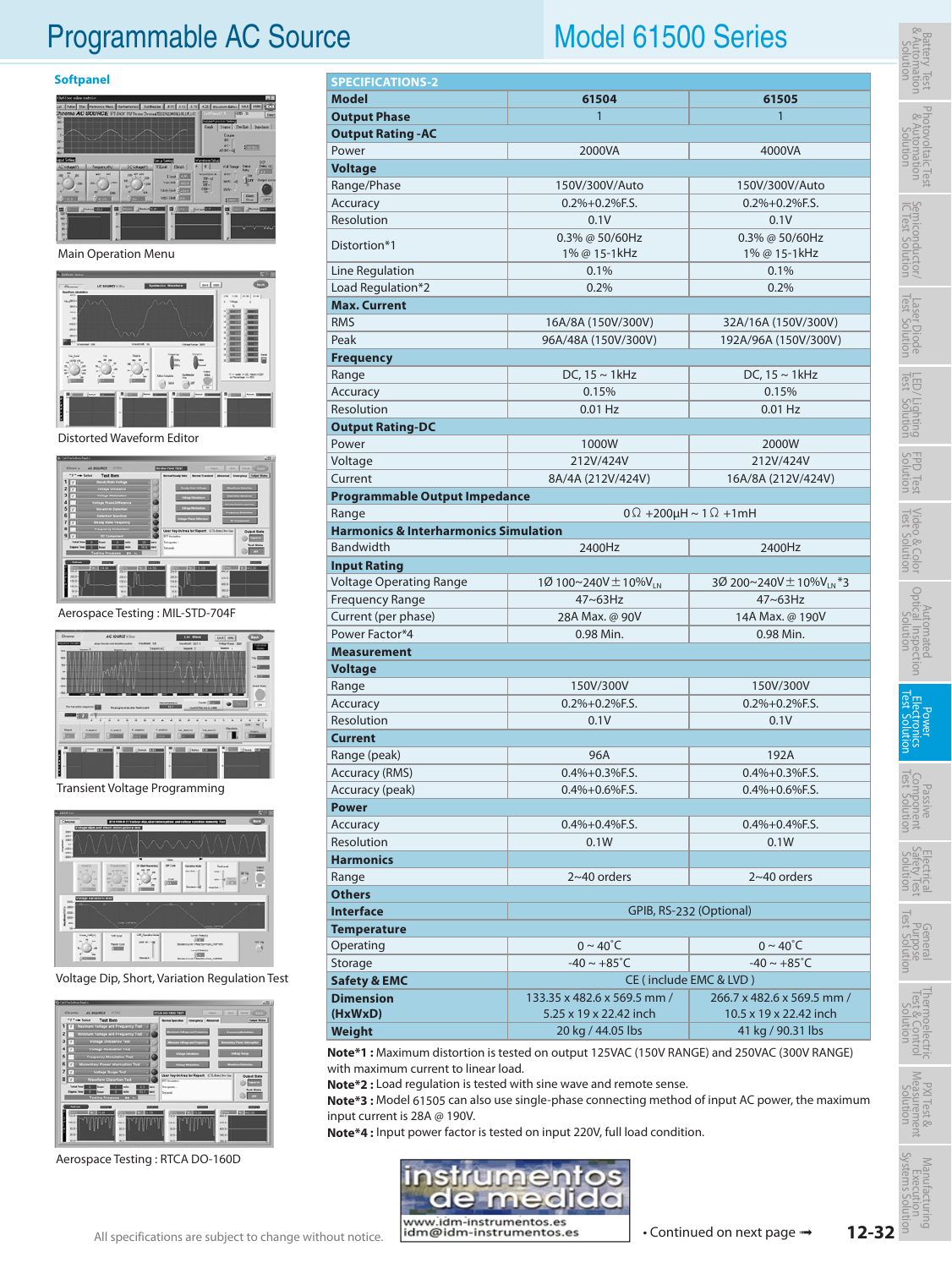## Programmable AC Source Model 61500 Series

### **Softpanel**



Main Operation Menu



Distorted Waveform Editor



Aerospace Testing : MIL-STD-704F



Transient Voltage Programming



Voltage Dip, Short, Variation Regulation Test



Aerospace Testing : RTCA DO-160D

| <b>SPECIFICATIONS-2</b>                          |                                |                                         |  |  |  |  |  |
|--------------------------------------------------|--------------------------------|-----------------------------------------|--|--|--|--|--|
| <b>Model</b>                                     | 61504                          | 61505                                   |  |  |  |  |  |
| <b>Output Phase</b>                              | 1                              | 1                                       |  |  |  |  |  |
| <b>Output Rating - AC</b>                        |                                |                                         |  |  |  |  |  |
| Power                                            | 2000VA                         | 4000VA                                  |  |  |  |  |  |
| <b>Voltage</b>                                   |                                |                                         |  |  |  |  |  |
| Range/Phase                                      | 150V/300V/Auto                 | 150V/300V/Auto                          |  |  |  |  |  |
| Accuracy                                         | $0.2\% + 0.2\%$ F.S.           | $0.2\% + 0.2\%$ F.S.                    |  |  |  |  |  |
| Resolution                                       | 0.1V                           | 0.1V                                    |  |  |  |  |  |
|                                                  | 0.3% @ 50/60Hz                 | $0.3\%$ @ 50/60Hz                       |  |  |  |  |  |
| Distortion*1                                     | 1% @ 15-1kHz                   | 1% @ 15-1kHz                            |  |  |  |  |  |
| Line Regulation                                  | 0.1%                           | 0.1%                                    |  |  |  |  |  |
| Load Regulation*2                                | 0.2%                           | 0.2%                                    |  |  |  |  |  |
| <b>Max. Current</b>                              |                                |                                         |  |  |  |  |  |
| <b>RMS</b>                                       | 16A/8A (150V/300V)             | 32A/16A (150V/300V)                     |  |  |  |  |  |
| Peak                                             | 96A/48A (150V/300V)            | 192A/96A (150V/300V)                    |  |  |  |  |  |
| <b>Frequency</b>                                 |                                |                                         |  |  |  |  |  |
| Range                                            | DC, $15 \sim 1$ kHz            | $DC, 15 \sim 1$ kHz                     |  |  |  |  |  |
| Accuracy                                         | 0.15%                          | 0.15%                                   |  |  |  |  |  |
| Resolution                                       | $0.01$ Hz                      | $0.01$ Hz                               |  |  |  |  |  |
| <b>Output Rating-DC</b>                          |                                |                                         |  |  |  |  |  |
| Power                                            | 1000W                          | 2000W                                   |  |  |  |  |  |
| Voltage                                          | 212V/424V                      | 212V/424V                               |  |  |  |  |  |
| Current                                          | 8A/4A (212V/424V)              | 16A/8A (212V/424V)                      |  |  |  |  |  |
| <b>Programmable Output Impedance</b>             |                                |                                         |  |  |  |  |  |
| Range                                            |                                | $0 \Omega$ +200µH ~ 1 $\Omega$ +1mH     |  |  |  |  |  |
| <b>Harmonics &amp; Interharmonics Simulation</b> |                                |                                         |  |  |  |  |  |
| <b>Bandwidth</b>                                 | 2400Hz                         | 2400Hz                                  |  |  |  |  |  |
| <b>Input Rating</b>                              |                                |                                         |  |  |  |  |  |
| <b>Voltage Operating Range</b>                   | 1Ø 100~240V ± 10%VLN           | 3Ø 200~240V $\pm$ 10%V <sub>LN</sub> *3 |  |  |  |  |  |
| <b>Frequency Range</b>                           | 47~63Hz                        | $47 \sim 63$ Hz                         |  |  |  |  |  |
| Current (per phase)                              | 28A Max. @ 90V                 | 14A Max. @ 190V                         |  |  |  |  |  |
| Power Factor*4                                   | 0.98 Min.                      | 0.98 Min.                               |  |  |  |  |  |
| <b>Measurement</b>                               |                                |                                         |  |  |  |  |  |
| <b>Voltage</b>                                   |                                |                                         |  |  |  |  |  |
| Range                                            | 150V/300V                      | 150V/300V                               |  |  |  |  |  |
| Accuracy                                         | $0.2\% + 0.2\%$ F.S.           | $0.2\% + 0.2\%$ F.S.                    |  |  |  |  |  |
| Resolution                                       | 0.1V                           | 0.1V                                    |  |  |  |  |  |
| <b>Current</b>                                   |                                |                                         |  |  |  |  |  |
| Range (peak)                                     | 96A                            | 192A                                    |  |  |  |  |  |
| <b>Accuracy (RMS)</b>                            | $0.4% + 0.3%$ F.S.             | $0.4\% + 0.3\%$ F.S.                    |  |  |  |  |  |
| Accuracy (peak)                                  | 0.4%+0.6%F.S.<br>0.4%+0.6%F.S. |                                         |  |  |  |  |  |
| <b>Power</b>                                     |                                |                                         |  |  |  |  |  |
| Accuracy                                         | $0.4% + 0.4%$ F.S.             | $0.4% + 0.4%$ F.S.                      |  |  |  |  |  |
| Resolution                                       | 0.1W<br>0.1W                   |                                         |  |  |  |  |  |
| <b>Harmonics</b>                                 |                                |                                         |  |  |  |  |  |
| Range                                            | $2~40$ orders                  | $2~40$ orders                           |  |  |  |  |  |
| <b>Others</b>                                    |                                |                                         |  |  |  |  |  |
| <b>Interface</b><br>GPIB, RS-232 (Optional)      |                                |                                         |  |  |  |  |  |
| <b>Temperature</b>                               |                                |                                         |  |  |  |  |  |
| Operating                                        | $0 \sim 40^{\circ}$ C          | 0 ~ 40˚C                                |  |  |  |  |  |
| $S_{\text{tors}}$                                | $10 - 105^\circ C$             | $1005$ °C                               |  |  |  |  |  |

| <b>Temperature</b>      |                                                  |                            |  |
|-------------------------|--------------------------------------------------|----------------------------|--|
| Operating               | $0 \sim 40^{\circ}$ C                            | $0 \sim 40^{\circ}$ C      |  |
| Storage                 | $-40 \sim +85^{\circ}C$                          | $-40 \sim +85^{\circ}$ C   |  |
| <b>Safety &amp; EMC</b> | CE (include EMC & LVD)                           |                            |  |
| <b>Dimension</b>        | 133.35 x 482.6 x 569.5 mm /                      | 266.7 x 482.6 x 569.5 mm / |  |
| (HxWxD)                 | 5.25 x 19 x 22.42 inch<br>10.5 x 19 x 22.42 inch |                            |  |
| Weight                  | 20 kg / 44.05 lbs                                | 41 kg / 90.31 lbs          |  |

**Note\*1 :** Maximum distortion is tested on output 125VAC (150V RANGE) and 250VAC (300V RANGE) with maximum current to linear load.

**Note\*2 :** Load regulation is tested with sine wave and remote sense.

**Note\*3 :** Model 61505 can also use single-phase connecting method of input AC power, the maximum input current is 28A @ 190V.

**Note\*4 :** Input power factor is tested on input 220V, full load condition.



[•](http://www.idm-instrumentos.es) Continued on next page  $\rightarrow$